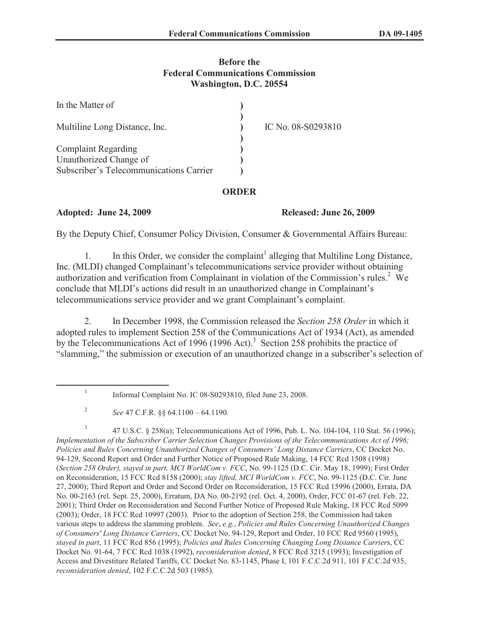## **Before the Federal Communications Commission Washington, D.C. 20554**

| In the Matter of                        |                    |
|-----------------------------------------|--------------------|
| Multiline Long Distance, Inc.           | IC No. 08-S0293810 |
| <b>Complaint Regarding</b>              |                    |
| Unauthorized Change of                  |                    |
| Subscriber's Telecommunications Carrier |                    |

## **ORDER**

## **Adopted: June 24, 2009 Released: June 26, 2009**

By the Deputy Chief, Consumer Policy Division, Consumer & Governmental Affairs Bureau:

1. In this Order, we consider the complaint<sup>1</sup> alleging that Multiline Long Distance, Inc. (MLDI) changed Complainant's telecommunications service provider without obtaining authorization and verification from Complainant in violation of the Commission's rules.<sup>2</sup> We conclude that MLDI's actions did result in an unauthorized change in Complainant's telecommunications service provider and we grant Complainant's complaint.

2. In December 1998, the Commission released the *Section 258 Order* in which it adopted rules to implement Section 258 of the Communications Act of 1934 (Act), as amended by the Telecommunications Act of 1996 (1996 Act).<sup>3</sup> Section 258 prohibits the practice of "slamming," the submission or execution of an unauthorized change in a subscriber's selection of

3 47 U.S.C. § 258(a); Telecommunications Act of 1996, Pub. L. No. 104-104, 110 Stat. 56 (1996); *Implementation of the Subscriber Carrier Selection Changes Provisions of the Telecommunications Act of 1996; Policies and Rules Concerning Unauthorized Changes of Consumers' Long Distance Carriers*, CC Docket No. 94-129, Second Report and Order and Further Notice of Proposed Rule Making, 14 FCC Rcd 1508 (1998) (*Section 258 Order), stayed in part, MCI WorldCom v. FCC*, No. 99-1125 (D.C. Cir. May 18, 1999); First Order on Reconsideration, 15 FCC Rcd 8158 (2000); *stay lifted, MCI WorldCom v. FCC*, No. 99-1125 (D.C. Cir. June 27, 2000); Third Report and Order and Second Order on Reconsideration, 15 FCC Rcd 15996 (2000), Errata, DA No. 00-2163 (rel. Sept. 25, 2000), Erratum, DA No. 00-2192 (rel. Oct. 4, 2000), Order, FCC 01-67 (rel. Feb. 22, 2001); Third Order on Reconsideration and Second Further Notice of Proposed Rule Making, 18 FCC Rcd 5099 (2003); Order, 18 FCC Rcd 10997 (2003). Prior to the adoption of Section 258, the Commission had taken various steps to address the slamming problem. *See*, *e.g.*, *Policies and Rules Concerning Unauthorized Changes of Consumers' Long Distance Carriers*, CC Docket No. 94-129, Report and Order, 10 FCC Rcd 9560 (1995), *stayed in part*, 11 FCC Rcd 856 (1995); *Policies and Rules Concerning Changing Long Distance Carrier*s, CC Docket No. 91-64, 7 FCC Rcd 1038 (1992), *reconsideration denied*, 8 FCC Rcd 3215 (1993); Investigation of Access and Divestiture Related Tariffs, CC Docket No. 83-1145, Phase I, 101 F.C.C.2d 911, 101 F.C.C.2d 935, *reconsideration denied*, 102 F.C.C.2d 503 (1985).

<sup>1</sup> Informal Complaint No. IC 08-S0293810, filed June 23, 2008.

<sup>2</sup> *See* 47 C.F.R. §§ 64.1100 – 64.1190.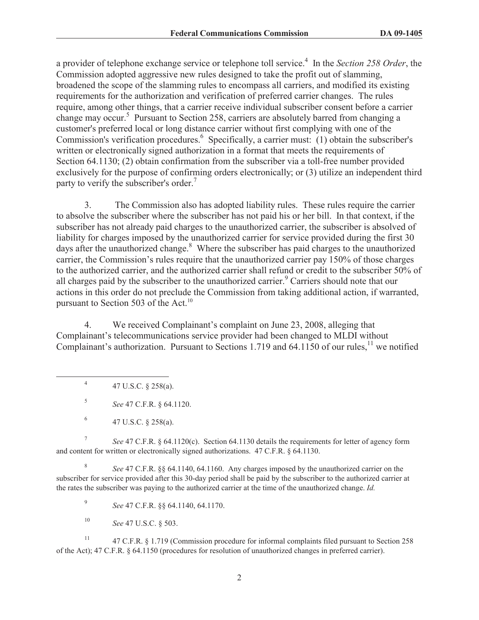a provider of telephone exchange service or telephone toll service.<sup>4</sup> In the *Section 258 Order*, the Commission adopted aggressive new rules designed to take the profit out of slamming, broadened the scope of the slamming rules to encompass all carriers, and modified its existing requirements for the authorization and verification of preferred carrier changes. The rules require, among other things, that a carrier receive individual subscriber consent before a carrier change may occur.<sup>5</sup> Pursuant to Section 258, carriers are absolutely barred from changing a customer's preferred local or long distance carrier without first complying with one of the Commission's verification procedures.<sup>6</sup> Specifically, a carrier must: (1) obtain the subscriber's written or electronically signed authorization in a format that meets the requirements of Section 64.1130; (2) obtain confirmation from the subscriber via a toll-free number provided exclusively for the purpose of confirming orders electronically; or (3) utilize an independent third party to verify the subscriber's order.<sup>7</sup>

3. The Commission also has adopted liability rules. These rules require the carrier to absolve the subscriber where the subscriber has not paid his or her bill. In that context, if the subscriber has not already paid charges to the unauthorized carrier, the subscriber is absolved of liability for charges imposed by the unauthorized carrier for service provided during the first 30 days after the unauthorized change.<sup>8</sup> Where the subscriber has paid charges to the unauthorized carrier, the Commission's rules require that the unauthorized carrier pay 150% of those charges to the authorized carrier, and the authorized carrier shall refund or credit to the subscriber 50% of all charges paid by the subscriber to the unauthorized carrier.<sup>9</sup> Carriers should note that our actions in this order do not preclude the Commission from taking additional action, if warranted, pursuant to Section 503 of the Act.<sup>10</sup>

4. We received Complainant's complaint on June 23, 2008, alleging that Complainant's telecommunications service provider had been changed to MLDI without Complainant's authorization. Pursuant to Sections 1.719 and  $64.1150$  of our rules,<sup>11</sup> we notified

4 47 U.S.C. § 258(a).

5 *See* 47 C.F.R. § 64.1120.

7 *See* 47 C.F.R. § 64.1120(c). Section 64.1130 details the requirements for letter of agency form and content for written or electronically signed authorizations. 47 C.F.R. § 64.1130.

8 *See* 47 C.F.R. §§ 64.1140, 64.1160. Any charges imposed by the unauthorized carrier on the subscriber for service provided after this 30-day period shall be paid by the subscriber to the authorized carrier at the rates the subscriber was paying to the authorized carrier at the time of the unauthorized change. *Id.*

9 *See* 47 C.F.R. §§ 64.1140, 64.1170.

<sup>10</sup> *See* 47 U.S.C. § 503.

<sup>11</sup> 47 C.F.R. § 1.719 (Commission procedure for informal complaints filed pursuant to Section 258 of the Act); 47 C.F.R. § 64.1150 (procedures for resolution of unauthorized changes in preferred carrier).

<sup>6</sup> 47 U.S.C. § 258(a).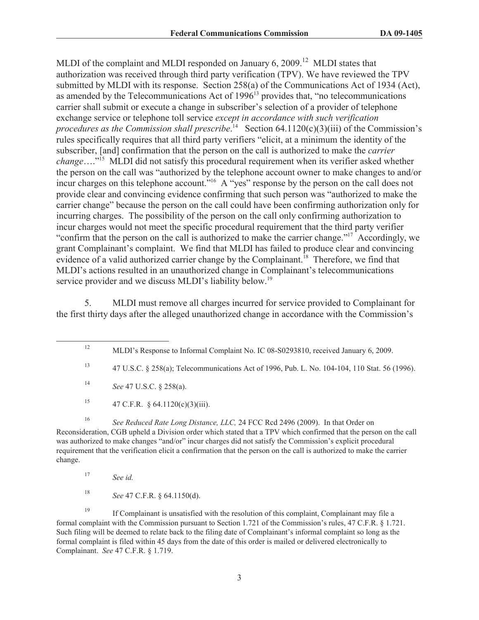MLDI of the complaint and MLDI responded on January  $6, 2009$ <sup>12</sup> MLDI states that authorization was received through third party verification (TPV). We have reviewed the TPV submitted by MLDI with its response. Section 258(a) of the Communications Act of 1934 (Act), as amended by the Telecommunications Act of  $1996<sup>13</sup>$  provides that, "no telecommunications carrier shall submit or execute a change in subscriber's selection of a provider of telephone exchange service or telephone toll service *except in accordance with such verification*  procedures as the Commission shall prescribe.<sup>14</sup> Section 64.1120(c)(3)(iii) of the Commission's rules specifically requires that all third party verifiers "elicit, at a minimum the identity of the subscriber, [and] confirmation that the person on the call is authorized to make the *carrier change*…."<sup>15</sup> MLDI did not satisfy this procedural requirement when its verifier asked whether the person on the call was "authorized by the telephone account owner to make changes to and/or incur charges on this telephone account."<sup>16</sup> A "yes" response by the person on the call does not provide clear and convincing evidence confirming that such person was "authorized to make the carrier change" because the person on the call could have been confirming authorization only for incurring charges. The possibility of the person on the call only confirming authorization to incur charges would not meet the specific procedural requirement that the third party verifier "confirm that the person on the call is authorized to make the carrier change."<sup>17</sup> Accordingly, we grant Complainant's complaint. We find that MLDI has failed to produce clear and convincing evidence of a valid authorized carrier change by the Complainant.<sup>18</sup> Therefore, we find that MLDI's actions resulted in an unauthorized change in Complainant's telecommunications service provider and we discuss MLDI's liability below.<sup>19</sup>

5. MLDI must remove all charges incurred for service provided to Complainant for the first thirty days after the alleged unauthorized change in accordance with the Commission's

<sup>15</sup> 47 C.F.R. § 64.1120(c)(3)(iii).

<sup>16</sup> *See Reduced Rate Long Distance, LLC,* 24 FCC Rcd 2496 (2009). In that Order on Reconsideration, CGB upheld a Division order which stated that a TPV which confirmed that the person on the call was authorized to make changes "and/or" incur charges did not satisfy the Commission's explicit procedural requirement that the verification elicit a confirmation that the person on the call is authorized to make the carrier change.

<sup>18</sup> *See* 47 C.F.R. § 64.1150(d).

<sup>19</sup> If Complainant is unsatisfied with the resolution of this complaint, Complainant may file a formal complaint with the Commission pursuant to Section 1.721 of the Commission's rules, 47 C.F.R. § 1.721. Such filing will be deemed to relate back to the filing date of Complainant's informal complaint so long as the formal complaint is filed within 45 days from the date of this order is mailed or delivered electronically to Complainant. *See* 47 C.F.R. § 1.719.

<sup>&</sup>lt;sup>12</sup> MLDI's Response to Informal Complaint No. IC 08-S0293810, received January 6, 2009.

<sup>13</sup> 47 U.S.C. § 258(a); Telecommunications Act of 1996, Pub. L. No. 104-104, 110 Stat. 56 (1996).

<sup>14</sup> *See* 47 U.S.C. § 258(a).

<sup>17</sup> *See id.*